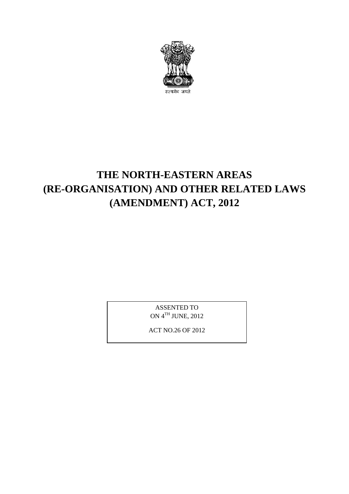

# **THE NORTH-EASTERN AREAS** THE NORTH-EASTERN AREAS<br>(RE-ORGANISATION) AND OTHER RELATED LAWS<br>(AMENDMENT) ACT, 2012 **(E NORTH-EASTERN AREAS<br>SATION) AND OTHER RELATED I<br>(AMENDMENT) ACT, 2012**

ASSENTED TO ON 4TH JUNE, 2012

ACT NO.26 OF 2012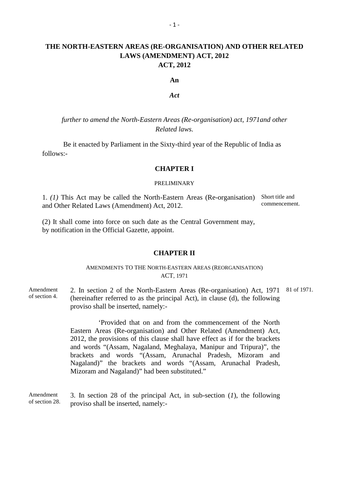## **THE NORTH-EASTERN AREAS (RE-ORGANISATION) AND OTHER RELATED** <sup>-1</sup><br>THE NORTH-EASTERN AREAS (RE-ORGANISATION) AND OTHER RELATED<br>LAWS (AMENDMENT) ACT, 2012 **ACT, 2012**

#### **An**

#### *Act*

*further to amend the North-Eastern Areas (Re-organisation) act, 1971and other Related laws.*

Be it enacted by Parliament in the Sixty-third year of the Republic of India as follows:-

#### **CHAPTER I**

#### PRELIMINARY

1. *(1)* This Act may be called the North-Eastern Areas (Re-organisation) Short title and and Other Related Laws (Amendment) Act, 2012. PRELIMINARY<br>
1. (1) This Act may be called the North-Eastern Areas (Re-organisation) Sh<br>
and Other Related Laws (Amendment) Act, 2012.<br>
(2) It shall come into force on such date as the Central Government may,<br>
by notificat

by notification in the Official Gazette, appoint.

#### **CHAPTER II**

#### AMENDMENTS TO THE NORTH-EASTERN AREAS (REORGANISATION) ACT, 1971

**CHAPTER II**<br>AMENDMENTS TO THE NORTH-EASTERN AREAS (REORGANISATION)<br>ACT, 1971<br>Amendment 2. In section 2 of the North-Eastern Areas (Re-organisation) Act, 1971 81 of 1971.<br>Thereinafter referred to as the principal Act), in of section 4. (hereinafter referred to as the principal Act), in clause (d), the following proviso shall be inserted, namely:- 2. In section 2 of the North-Eastern Areas (Re-organisation) Act, 1971 81 of 1971.<br>
(hereinafter referred to as the principal Act), in clause (d), the following<br>
proviso shall be inserted, namely:-<br>
'Provided that on and f

'Provided that on and from the commencement of the North (hereinafter referred to as the principal Act), in clause (d), the following<br>proviso shall be inserted, namely:-<br>
'Provided that on and from the commencement of the North<br>Eastern Areas (Re-organisation) and Other Related ( brackets and words "(Assam, Arunachal Pradesh, Mizoram and Nagaland)" the brackets and words "(Assam, Arunachal Pradesh, Mizoram and Nagaland)" had been substituted."

Amendment 3. In section 28 of the principal Act, in sub-section  $(I)$ , the following of section 28. proviso shall be inserted, namely:-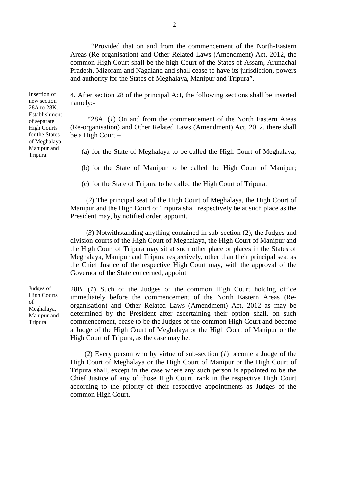"Provided that on and from the commencement of the North-Eastern <sup>-2</sup><br>
"Provided that on and from the commencement of the North-Eastern<br>
Areas (Re-organisation) and Other Related Laws (Amendment) Act, 2012, the<br>
common High Court shall be the high Court of the States of Assam, Arunachal common High Court shall be the high Court of the States of Assam, Arunachal "Provided that on and from the commencement of the North-Eastern<br>Areas (Re-organisation) and Other Related Laws (Amendment) Act, 2012, the<br>common High Court shall be the high Court of the States of Assam, Arunachal<br>Pradesh and authority for the States of Meghalaya, Manipur and Tripura". Areas (Re-organisation) and Other Related Laws (Amendment) Act, 2012, the<br>common High Court shall be the high Court of the States of Assam, Arunachal<br>Pradesh, Mizoram and Nagaland and shall cease to have its jurisdiction,

of separate "28A. (*1*) On and from the commencement of the North Eastern Areas High Courts (Re-organisation) and Other Related Laws (Amendment) Act, 2012, there shall for the States be a High Court  $-$ Establishment<br>
of separate<br>
Manipur and (Re-organisation) and Other Related Laws (Amendment) Act, 2012, there shall<br>
for the States<br>
of Meghalaya,<br>
Manipur and (a) for the State of Meghalaya to be called the High Court of -organisation) and Other Related Laws (Amendment) Act, 2012, there shall High Court –<br>
(a) for the State of Meghalaya to be called the High Court of Meghalaya;<br>
(b) for the State of Manipur to be called the High Court of

(a) for the State of Meghalaya to be called the High Court of Megh<br>
(b) for the State of Manipur to be called the High Court of Ma<br>
(c) for the State of Tripura to be called the High Court of Tripura.

(b) for the State of Manipur to be called the High Court of Manipur;<br>
(c) for the State of Tripura to be called the High Court of Tripura.<br>
(2) The principal seat of the High Court of Meghalaya, the High Court of Manipur a President may, by notified order, appoint.

(*3*) Notwithstanding anything contained in sub-section (2), the Judges and (2) The principal seat of the High Court of Meghalaya, the High Court of Manipur and the High Court of Tripura shall respectively be at such place as the President may, by notified order, appoint.<br>
(3) Notwithstanding anyt the High Court of Tripura may sit at such other place or places in the States of Meghalaya, Manipur and Tripura respectively, other than their principal seat as (3) Notwithstanding anything contained in sub-section (2), the Judges and division courts of the High Court of Meghalaya, the High Court of Manipur and the High Court of Tripura may sit at such other place or places in the Governor of the State concerned, appoint.

Judges of 28B. (*1*) Such of the Judges of the common High Court holding office Meghalaya, Manipur and Tripura respectively, other than their principal seat as<br>the Chief Justice of the respective High Court may, with the approval of the<br>Governor of the State concerned, appoint.<br>Judges of 28B. (1) Such Meghalaya, bigainsation) and Other Related Laws (Althentinent) Act, 2012 as may be<br>Manipur and determined by the President after ascertaining their option shall, on such Tripura. commencement, cease to be the Judges of the common High Court and become immediately before the commencement of the North Eastern Areas (Re-<br>organisation) and Other Related Laws (Amendment) Act, 2012 as may be<br>determined by the President after ascertaining their option shall, on such<br>commenceme High Court of Tripura, as the case may be.

> (*2*) Every person who by virtue of sub-section (*1*) become a Judge of the High Court of Meghalaya or the High Court of Manipur or the High Court of Tripura shall, except in the case where any such person is appointed to be the Chief Justice of any of those High Court, rank in the respective High Court according to the priority of their respective appointments as Judges of the common High Court.

new section namely:-<br>28A to 28K Establishment of Meghalaya,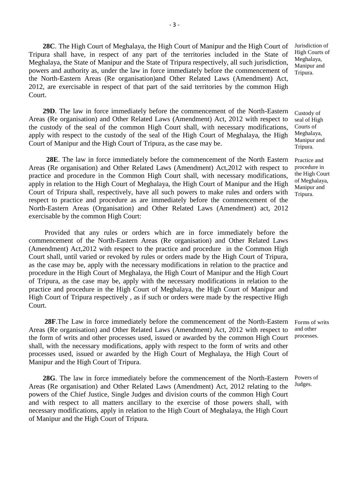**28C**. The High Court of Meghalaya, the High Court of Manipur and the High Court of Jurisdiction of <br>respect of any part of the territories included in the State of High Courts of Tripura shall have, in respect of any part of the territories included in the State of High Courts Meghalaya, the State of Manipur and the State of Tripura respectively, all such jurisdiction, Manipur and powers and authority as, under the law in force immediately before the commencement of Tripura.<br>the North-Eastern Ar **28C**. The High Court of Meghalaya, the High Court of Manipur and the High Court of Jum<br>Tripura shall have, in respect of any part of the territories included in the State of Hi<br>Meghalaya, the State of Manipur and the Sta **28C**. The High Court of Meghalaya, the High Court of Manipur and the High Court of Jurisdict Tripura shall have, in respect of any part of the territories included in the State of High Compare Meghalaya, the State of Man Court.

**29D**. The law in force immediately before the commencement of the North-Eastern Custody of Areas (Re organisation) and Other Related Laws (Amendment) Act, 2012 with respect to seal of High the North-Eastern Areas (Re organisation) and Other Related Laws (Amendment) Act,<br>
2012, are exercisable in respect of that part of the said territories by the common High<br>
Court.<br>
29D. The law in force immediately before the custody of the seal of the common High Court shall, with necessary modifications, Courts of early with recent to the quotedy of the seal of the High Court of Meghalaye, the High Meghalaye. apply with respect to the custody of the seal of the High Court of Meghalaya, the High  $\frac{Meghalaya}{Manipur}$  Meghalaya, Court of Manipur and the High Court of Tripura, as the case may be. Tripura. **28E.** The law in force immediately before the commencement of the North Eastern Practice and (Re organisation) and Other Related Laws (Amendment) Act, 2012 with respect to the custody of the seal of the High Court of Megh

the custody of the seal of the common High Court shall, with necessary modifications, Courts of<br>apply with respect to the custody of the seal of the High Court of Meghalaya, the High Meghalaya,<br>Court of Manipur and the Hig practice and procedure in the Common High Court shall, with necessary modifications, the High Court<br>candy in relation to the High Court of Machelaus, the High Court of Marinus and the High of Meghalaya, apply in relation to the High Court of Meghalaya, the High Court of Manipur and the High Manipur and Court of Tripura shall, respectively, have all such powers to make rules and orders with Tripura. respect to practice and procedure as are immediately before the commencement of the North-Eastern Areas (Organisation) and Other Related Laws (Amendment) act, 2012 exercisable by the common High Court:

Provided that any rules or orders which are in force immediately before the respect to practice and procedure as are immediately before the commencement of the<br>North-Eastern Areas (Organisation) and Other Related Laws (Amendment) act, 2012<br>exercisable by the common High Court:<br>Provided that any ru commencement of the North-Eastern Areas (Re organisation) and Other Related Laws (Amendment) Act,2012 with respect to the practice and procedure in the Common High Court shall, until varied or revoked by rules or orders made by the High Court of Tripura, as the case may be, apply with the necessary modifications in relation to the practice and procedure in the High Court of Meghalaya, the High Court of Manipur and the High Court of Tripura, as the case may be, apply with the necessary modifications in relation to the practice and procedure in the High Court of Meghalaya, the High Court of Manipur and High Court of Tripura respectively , as if such or orders were made by the respective High Court.

28F. The Law in force immediately before the commencement of the North-Eastern Forms of writs Areas (Re organisation) and Other Related Laws (Amendment) Act, 2012 with respect to and other the form of writs and other processes used, issued or awarded by the common High Court processes. High Court of Tripura respectively, as if such or orders were made by the respective High Court.<br>
28F.The Law in force immediately before the commencement of the North-Eastern Forms of writs<br>
Areas (Re organisation) and Ot **28F**. The Law in force immediately before the commencement of the North-Eastern Form Areas (Re organisation) and Other Related Laws (Amendment) Act, 2012 with respect to and the form of writs and other processes used, iss Manipur and the High Court of Tripura.

**28G**. The law in force immediately before the commencement of the North-Eastern Powers of  $\beta$  (Re organisation) and Other Poleted Laws (Amendmant) Act 2012 relating to the Judges. Shall, with the necessary modifications, apply with respect to the form of writs and other<br>processes used, issued or awarded by the High Court of Meghalaya, the High Court of<br>Manipur and the High Court of Tripura.<br>**28G**. T processes used, issued or awarded by the High Court of Meghalaya, the High Court of<br>Manipur and the High Court of Tripura.<br>**28G**. The law in force immediately before the commencement of the North-Eastern Pov<br>Areas (Re orga and with respect to all matters ancillary to the exercise of those powers shall, with necessary modifications, apply in relation to the High Court of Meghalaya, the High Court of Manipur and the High Court of Tripura.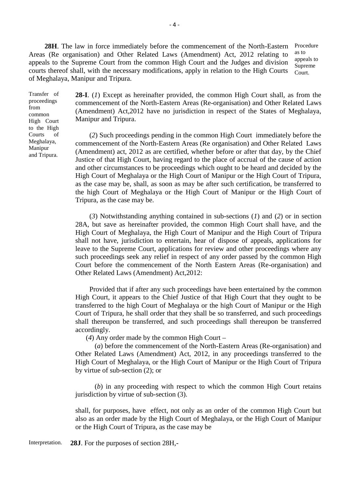**28H**. The law in force immediately before the commencement of the North-Eastern Procedure 28H. The law in force immediately before the commencement of the North-Eastern Procedure<br>Areas (Re organisation) and Other Related Laws (Amendment) Act, 2012 relating to as to<br>appeals to the Supreme Court from the common H **28H**. The law in force immediately before the commencement of the North-Eastern Procedure<br>Areas (Re organisation) and Other Related Laws (Amendment) Act, 2012 relating to as to<br>appeals to the Supreme Court from the common of Meghalaya, Manipur and Tripura.

to the High

Transfer of **28-I**. (*1*) Except as hereinafter provided, the common High Court shall, as from the proceedings commencement of the North-Eastern Areas (Re-organisation) and Other Related Laws From (Amendment) Act,2012 have no jurisdiction in respect of the States of Meghalaya, Manipur and Tripura.<br>
Transfer of **28-I**. (*I*) Except as hereinafter provided, the common High Court shall, as from the common enceredi common (Americannelly Act, 20<br>High Court Manipur and Tripura.

Courts of (*2*) Such proceedings pending in the common High Court immediately before the Meghalaya, common common of the North-Eastern Areas (Re organisation) and Other Related Jaws proceedings<br>
commencement of the North-Eastern Areas (Re-organisation) and Other Related Laws<br>
from<br>
common<br>
High Court<br>
Manipur and Tripura.<br>
to the High<br>
courts of<br>
(2) Such proceedings pending in the common High Court i commencement of the North-Eastern Areas (Re organisation) and Other Related Laws (Amendment) act, 2012 as are certified, whether before or after that day, by the Chief Justice of that High Court, having regard to the place High Court of Meghalaya or the High Court of Manipur or the High Court of Tripura, as the case may be, shall, as soon as may be after such certification, be transferred to the high Court of Meghalaya or the High Court of Manipur or the High Court of Tripura, as the case may be.

(*3*) Notwithstanding anything contained in sub-sections (*1*) and (*2*) or in section as the case may be, shall, as soon as may be after such certification, be transferred to<br>the high Court of Meghalaya or the High Court of Manipur or the High Court of<br>Tripura, as the case may be.<br>(3) Notwithstanding anythi High Court of Meghalaya, the High Court of Manipur and the High Court of Tripura shall not have, jurisdiction to entertain, hear of dispose of appeals, applications for leave to the Supreme Court, applications for review and other proceedings where any 28A, but save as hereinafter provided, the common High Court shall have, and the High Court of Meghalaya, the High Court of Manipur and the High Court of Tripura shall not have, jurisdiction to entertain, hear of dispose o Court before the commencement of the North Eastern Areas (Re-organisation) and Other Related Laws (Amendment) Act,2012: to the Supreme Court, applications for review and other proceedings where any<br>proceedings seek any relief in respect of any order passed by the common High<br>t before the commencement of the North Eastern Areas (Re-organisat

High Court, it appears to the Chief Justice of that High Court that they ought to be transferred to the high Court of Meghalaya or the high Court of Manipur or the High Court of Tripura, he shall order that they shall be so transferred, and such proceedings shall thereupon be transferred, and such proceedings shall thereupon be transferred accordingly.

(*4*) Any order made by the common High Court –

(*a*) before the commencement of the North-Eastern Areas (Re-organisation) and Other Related Laws (Amendment) Act, 2012, in any proceedings transferred to the High Court of Meghalaya, or the High Court of Manipur or the High Court of Tripura by virtue of sub-section (2); or (*a*) before the commencement of the North-Eastern Areas (Re-organisation) and Related Laws (Amendment) Act, 2012, in any proceedings transferred to the Court of Meghalaya, or the High Court of Manipur or the High Court of

jurisdiction by virtue of sub-section (3).

shall, for purposes, have effect, not only as an order of the common High Court but also as an order made by the High Court of Meghalaya, or the High Court of Manipur (*b*) in any proceeding with respect to which the jurisdiction by virtue of sub-section (3).<br>
shall, for purposes, have effect, not only as an order of also as an order made by the High Court of Meghalaya,<br>
or the High Co

Interpretation. **28J**. For the purposes of section 28H,-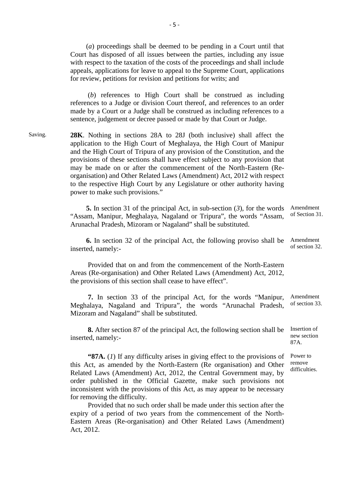(*a*) proceedings shall be deemed to be pending in a Court until that Court has disposed of all issues between the parties, including any issue <sup>-5</sup><br>(*a*) proceedings shall be deemed to be pending in a Court until that<br>Court has disposed of all issues between the parties, including any issue<br>with respect to the taxation of the costs of the proceedings and shall in appeals, applications for leave to appeal to the Supreme Court, applications for review, petitions for revision and petitions for writs; and

(*b*) references to High Court shall be construed as including references to a Judge or division Court thereof, and references to an order made by a Court or a Judge shall be construed as including references to a sentence, judgement or decree passed or made by that Court or Judge. (b) references to High Court shall be construed as including<br>references to a Judge or division Court thereof, and references to an order<br>made by a Court or a Judge shall be construed as including references to a<br>sentence,

application to the High Court of Meghalaya, the High Court of Manipur and the High Court of Tripura of any provision of the Constitution, and the provisions of these sections shall have effect subject to any provision that may be made on or after the commencement of the North-Eastern (Reorganisation) and Other Related Laws (Amendment) Act, 2012 with respect to the respective High Court by any Legislature or other authority having power to make such provisions." be made on or after the commencement of the North-Eastern (Re-<br>isation) and Other Related Laws (Amendment) Act, 2012 with respect<br>is respective High Court by any Legislature or other authority having<br>r to make such provisi

"Assam, Manipur, Meghalaya, Nagaland or Tripura", the words "Assam, of Section 31. Arunachal Pradesh, Mizoram or Nagaland" shall be substituted.

**6.** In section 32 of the principal Act, the following proviso shall be Amendment of section 32. inserted, namely:-

Provided that on and from the commencement of the North-Eastern Areas (Re-organisation) and Other Related Laws (Amendment) Act, 2012, the provisions of this section shall cease to have effect".

**7.** In section 33 of the principal Act, for the words "Manipur, Amendment Meghalaya, Nagaland and Tripura", the words "Arunachal Pradesh, Mizoram and Nagaland" shall be substituted.

**8.** After section 87 of the principal Act, the following section shall be Insertion of new section inserted, namely:-

**8.** After section 87 of the principal Act, the following section shall be Insertion of new section std, namely:-<br> **"87A.** (*1*) If any difficulty arises in giving effect to the provisions of Power to ct, as amended by the **8.** After section 87 of the principal Act, the following section shall be Insertion of inserted, namely:-<br> **87A.** (1) If any difficulty arises in giving effect to the provisions of Power to this Act, as amended by the Nor this Act, as amended by the North-Eastern (Re organisation) and Other remove<br>Related Laws (Amendment) Act, 2012, the Central Government may, by difficulties. order published in the Official Gazette, make such provisions not inconsistent with the provisions of this Act, as may appear to be necessary for removing the difficulty.

Provided that no such order shall be made under this section after the expiry of a period of two years from the commencement of the North-Eastern Areas (Re-organisation) and Other Related Laws (Amendment) Act, 2012.

87A.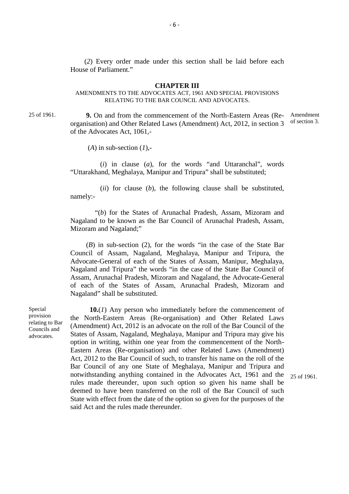(*2*) Every order made under this section shall be laid before each House of Parliament." (2) Every order made under this section shall be laid before each<br>ouse of Parliament."<br>**CHAPTER III**<br>AMENDMENTS TO THE ADVOCATES ACT, 1961 AND SPECIAL PROVISIONS<br>RELATING TO THE BAR COUNCIL AND ADVOCATES.

#### **CHAPTER III**

### RELATING TO THE BAR COUNCIL AND ADVOCATES.

25 of 1961.<br>**9.** On and from the commencement of the North-Eastern Areas (Re- Amendment<br>creanisation) and Other Polated Laws (Amendment) Act, 2012, in section 2. of section 3. **CHAPTER III**<br>AMENDMENTS TO THE ADVOCATES ACT, 1961 AND SPECIAL PROVISIONS<br>RELATING TO THE BAR COUNCIL AND ADVOCATES.<br>**9.** On and from the commencement of the North-Eastern Areas (Re-Amendment<br>organisation) and Other Relat of the Advocates Act, 1061,-

(*A*) in sub-section (*1*),-

(*i*) in clause (*a*), for the words "and Uttaranchal", words "Uttarakhand, Meghalaya, Manipur and Tripura" shall be substituted;

(*ii*) for clause (*b*), the following clause shall be substituted, namely:-

"(*b*) for the States of Arunachal Pradesh, Assam, Mizoram and Nagaland to be known as the Bar Council of Arunachal Pradesh, Assam, Mizoram and Nagaland;" (*b*) for the States of Arunachal Pradesh, Assam, Mizoram and<br>
Nagaland to be known as the Bar Council of Arunachal Pradesh, Assam,<br>
Mizoram and Nagaland;<br>
(*B*) in sub-section (2), for the words "in the case of the State

Advocate-General of each of the States of Assam, Manipur, Meghalaya,  $(B)$  in sub-section (2), for the words "in the case of the State Bar Council of Assam, Nagaland, Meghalaya, Manipur and Tripura, the Advocate-General of each of the States of Assam, Manipur, Meghalaya, Nagaland and Tripur Assam, Arunachal Pradesh, Mizoram and Nagaland, the Advocate-General of each of the States of Assam, Arunachal Pradesh, Mizoram and Nagaland" shall be substituted. Nagaland and Tripura" the words "in the case of the State Bar Council of<br>Assam, Arunachal Pradesh, Mizoram and Nagaland, the Advocate-General<br>of each of the States of Assam, Arunachal Pradesh, Mizoram and<br>Nagaland" shall b

provision the North-Eastern Areas (Re-organisation) and Other Related Laws<br>relating to Bar relating to Bar (Amendment) Act, 2012 is an advocate on the roll of the Bar Council of the Council of the advocates. States of Assam, Nagaland, Meghalaya, Manipur and Tripura may give his **10.**(*I*) Any person who immediately before the commencement of the North-Eastern Areas (Re-organisation) and Other Related Laws (Amendment) Act, 2012 is an advocate on the roll of the Bar Council of the States of Assam, Eastern Areas (Re-organisation) and other Related Laws (Amendment) the North-Eastern Areas (Re-organisation) and Other Related Laws<br>(Amendment) Act, 2012 is an advocate on the roll of the Bar Council of the<br>States of Assam, Nagaland, Meghalaya, Manipur and Tripura may give his<br>option in w (Amendment) Act, 2012 is an advocate on the roll of the Bar Council of the<br>States of Assam, Nagaland, Meghalaya, Manipur and Tripura may give his<br>option in writing, within one year from the commencement of the North-<br>Easte rules made thereunder, upon such option so given his name shall be Eastern Areas (Re-organisation) and other Related Laws (Amendment)<br>Act, 2012 to the Bar Council of such, to transfer his name on the roll of the<br>Bar Council of any one State of Meghalaya, Manipur and Tripura and<br>notwithst State with effect from the date of the option so given for the purposes of the said Act and the rules made thereunder.